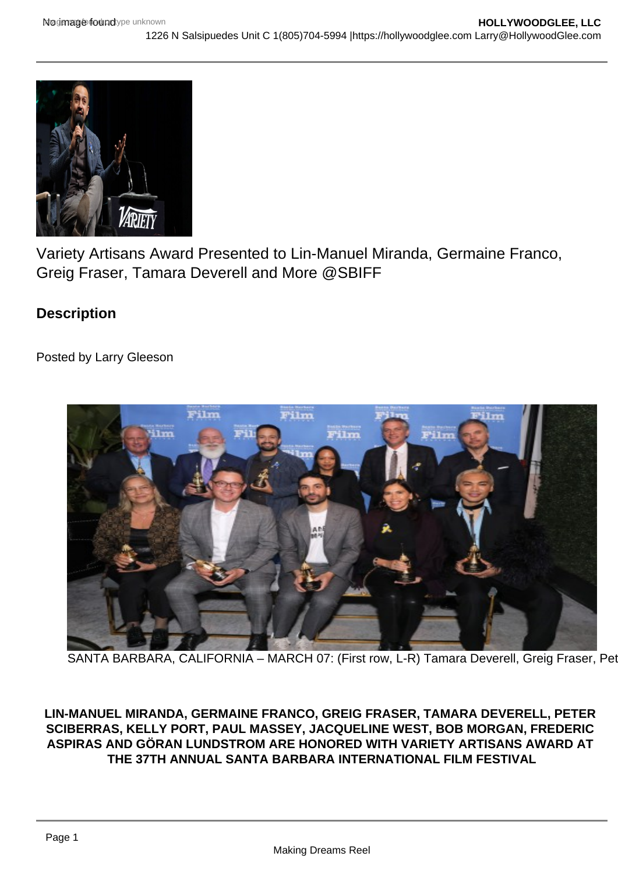Variety Artisans Award Presented to Lin-Manuel Miranda, Germaine Franco, Greig Fraser, Tamara Deverell and More @SBIFF

**Description** 

Posted by Larry Gleeson

SANTA BARBARA, CALIFORNIA - MARCH 07: (First row, L-R) Tamara Deverell, Greig Fraser, Pet

LIN-MANUEL MIRANDA, GERMAINE FRANCO, GREIG FRASER, TAMARA DEVERELL, PETER SCIBERRAS, KELLY PORT, PAUL MASSEY, JACQUELINE WEST, BOB MORGAN, FREDERIC ASPIRAS AND GÖRAN LUNDSTROM ARE HONORED WITH VARIETY ARTISANS AWARD AT THE 37TH ANNUAL SANTA BARBARA INTERNATIONAL FILM FESTIVAL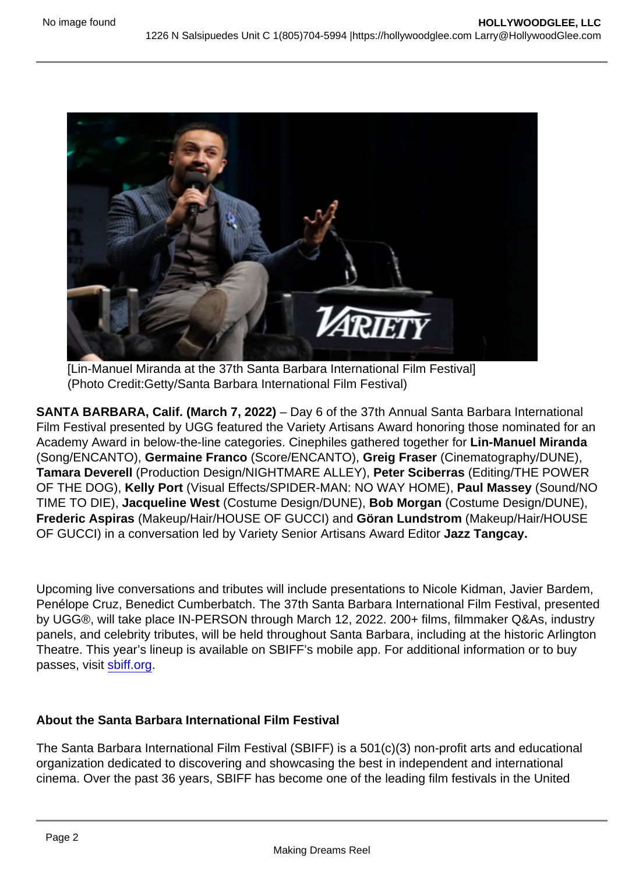[Lin-Manuel Miranda at the 37th Santa Barbara International Film Festival] (Photo Credit:Getty/Santa Barbara International Film Festival)

SANTA BARBARA, Calif. (March 7, 2022) – Day 6 of the 37th Annual Santa Barbara International Film Festival presented by UGG featured the Variety Artisans Award honoring those nominated for an Academy Award in below-the-line categories. Cinephiles gathered together for Lin-Manuel Miranda (Song/ENCANTO), Germaine Franco (Score/ENCANTO), Greig Fraser (Cinematography/DUNE), Tamara Deverell (Production Design/NIGHTMARE ALLEY), Peter Sciberras (Editing/THE POWER OF THE DOG), Kelly Port (Visual Effects/SPIDER-MAN: NO WAY HOME), Paul Massey (Sound/NO TIME TO DIE), Jacqueline West (Costume Design/DUNE), Bob Morgan (Costume Design/DUNE), Frederic Aspiras (Makeup/Hair/HOUSE OF GUCCI) and Göran Lundstrom (Makeup/Hair/HOUSE OF GUCCI) in a conversation led by Variety Senior Artisans Award Editor Jazz Tangcay.

Upcoming live conversations and tributes will include presentations to Nicole Kidman, Javier Bardem, Penélope Cruz, Benedict Cumberbatch. The 37th Santa Barbara International Film Festival, presented by UGG®, will take place IN-PERSON through March 12, 2022. 200+ films, filmmaker Q&As, industry panels, and celebrity tributes, will be held throughout Santa Barbara, including at the historic Arlington Theatre. This year's lineup is available on SBIFF's mobile app. For additional information or to buy passes, visit [sbiff.org](http://sbiff.org).

## About the Santa Barbara International Film Festival

The Santa Barbara International Film Festival (SBIFF) is a 501(c)(3) non-profit arts and educational organization dedicated to discovering and showcasing the best in independent and international cinema. Over the past 36 years, SBIFF has become one of the leading film festivals in the United